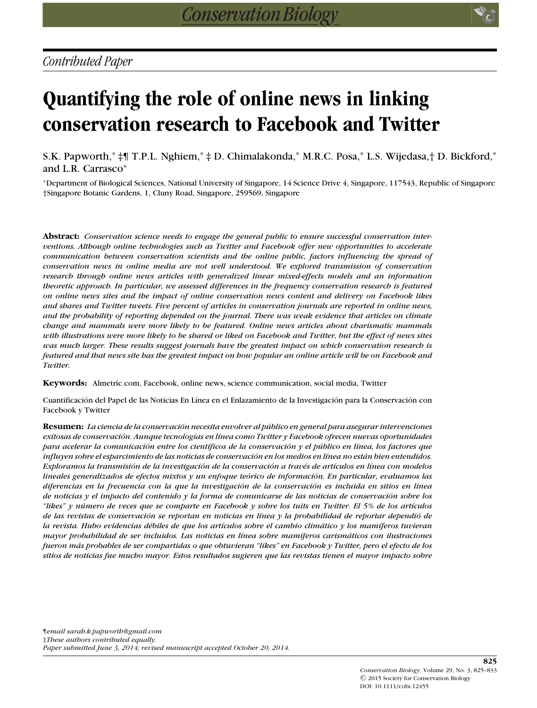# **Quantifying the role of online news in linking conservation research to Facebook and Twitter**

S.K. Papworth,<sup>∗</sup> ‡¶ T.P.L. Nghiem,<sup>∗</sup> ‡ D. Chimalakonda,<sup>∗</sup> M.R.C. Posa,<sup>∗</sup> L.S. Wijedasa,† D. Bickford,<sup>∗</sup> and L.R. Carrasco<sup>∗</sup>

<sup>∗</sup>Department of Biological Sciences, National University of Singapore, 14 Science Drive 4, Singapore, 117543, Republic of Singapore †Singapore Botanic Gardens, 1, Cluny Road, Singapore, 259569, Singapore

**Abstract:** *Conservation science needs to engage the general public to ensure successful conservation interventions. Although online technologies such as Twitter and Facebook offer new opportunities to accelerate communication between conservation scientists and the online public, factors influencing the spread of conservation news in online media are not well understood. We explored transmission of conservation research through online news articles with generalized linear mixed-effects models and an information theoretic approach. In particular, we assessed differences in the frequency conservation research is featured on online news sites and the impact of online conservation news content and delivery on Facebook likes and shares and Twitter tweets. Five percent of articles in conservation journals are reported in online news, and the probability of reporting depended on the journal. There was weak evidence that articles on climate change and mammals were more likely to be featured. Online news articles about charismatic mammals with illustrations were more likely to be shared or liked on Facebook and Twitter, but the effect of news sites was much larger. These results suggest journals have the greatest impact on which conservation research is featured and that news site has the greatest impact on how popular an online article will be on Facebook and Twitter.*

**Keywords:** Almetric.com, Facebook, online news, science communication, social media, Twitter

Cuantificación del Papel de las Noticias En Línea en el Enlazamiento de la Investigación para la Conservación con Facebook y Twitter

**Resumen:** *La ciencia de la conservacion necesita envolver al p ´ ublico en general para asegurar intervenciones ´ exitosas de conservacion. Aunque tecnolog ´ ´ıas en l´ınea como Twitter y Facebook ofrecen nuevas oportunidades para acelerar la comunicacion entre los cient ´ ´ıficos de la conservacion y el p ´ ublico en l ´ ´ınea, los factores que influyen sobre el esparcimiento de las noticias de conservacion en los medios en l ´ ´ınea no estan bien entendidos. ´ Exploramos la transmision de la investigaci ´ on de la conservaci ´ on a trav ´ ´es de art´ıculos en l´ınea con modelos lineales generalizados de efectos mixtos y un enfoque teorico de informaci ´ on. En particular, evaluamos las ´ diferencias en la frecuencia con la que la investigacion de la conservaci ´ on es incluida en sitios en l ´ ´ınea de noticias y el impacto del contenido y la forma de comunicarse de las noticias de conservacion sobre los ´ "likes" y numero de veces que se comparte en Facebook y sobre los tuits en Twitter. El 5% de los art ´ ´ıculos de las revistas de conservacion se reportan en noticias en l ´ ´ınea y la probabilidad de reportar dependio de ´ la revista. Hubo evidencias d´ebiles de que los art´ıculos sobre el cambio climatico y los mam ´ ´ıferos tuvieran mayor probabilidad de ser incluidos. Las noticias en l´ınea sobre mam´ıferos carismaticos con ilustraciones ´ fueron mas probables de ser compartidas o que obtuvieran "likes" en Facebook y Twitter, pero el efecto de los ´ sitios de noticias fue mucho mayor. Estos resultados sugieren que las revistas tienen el mayor impacto sobre*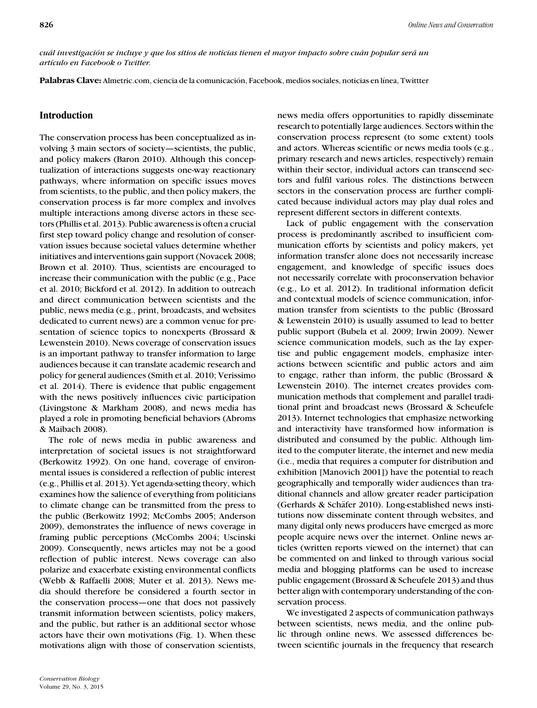*cual investigaci ´ on se incluye y que los sitios de noticias tienen el mayor impacto sobre cu ´ an popular ser ´ a un ´ art´ıculo en Facebook o Twitter.*

Palabras Clave: Almetric.com, ciencia de la comunicación, Facebook, medios sociales, noticias en línea, Twittter

# **Introduction**

The conservation process has been conceptualized as involving 3 main sectors of society—scientists, the public, and policy makers (Baron 2010). Although this conceptualization of interactions suggests one-way reactionary pathways, where information on specific issues moves from scientists, to the public, and then policy makers, the conservation process is far more complex and involves multiple interactions among diverse actors in these sectors (Phillis et al. 2013). Public awareness is often a crucial first step toward policy change and resolution of conservation issues because societal values determine whether initiatives and interventions gain support (Novacek 2008; Brown et al. 2010). Thus, scientists are encouraged to increase their communication with the public (e.g., Pace et al. 2010; Bickford et al. 2012). In addition to outreach and direct communication between scientists and the public, news media (e.g., print, broadcasts, and websites dedicated to current news) are a common venue for presentation of science topics to nonexperts (Brossard & Lewenstein 2010). News coverage of conservation issues is an important pathway to transfer information to large audiences because it can translate academic research and policy for general audiences (Smith et al. 2010; Verissimo et al. 2014). There is evidence that public engagement with the news positively influences civic participation (Livingstone & Markham 2008), and news media has played a role in promoting beneficial behaviors (Abroms & Maibach 2008).

The role of news media in public awareness and interpretation of societal issues is not straightforward (Berkowitz 1992). On one hand, coverage of environmental issues is considered a reflection of public interest (e.g., Phillis et al. 2013). Yet agenda-setting theory, which examines how the salience of everything from politicians to climate change can be transmitted from the press to the public (Berkowitz 1992; McCombs 2005; Anderson 2009), demonstrates the influence of news coverage in framing public perceptions (McCombs 2004; Uscinski 2009). Consequently, news articles may not be a good reflection of public interest. News coverage can also polarize and exacerbate existing environmental conflicts (Webb & Raffaelli 2008; Muter et al. 2013). News media should therefore be considered a fourth sector in the conservation process—one that does not passively transmit information between scientists, policy makers, and the public, but rather is an additional sector whose actors have their own motivations (Fig. 1). When these motivations align with those of conservation scientists,

news media offers opportunities to rapidly disseminate research to potentially large audiences. Sectors within the conservation process represent (to some extent) tools and actors. Whereas scientific or news media tools (e.g., primary research and news articles, respectively) remain within their sector, individual actors can transcend sectors and fulfil various roles. The distinctions between sectors in the conservation process are further complicated because individual actors may play dual roles and represent different sectors in different contexts.

Lack of public engagement with the conservation process is predominantly ascribed to insufficient communication efforts by scientists and policy makers, yet information transfer alone does not necessarily increase engagement, and knowledge of specific issues does not necessarily correlate with proconservation behavior (e.g., Lo et al. 2012). In traditional information deficit and contextual models of science communication, information transfer from scientists to the public (Brossard & Lewenstein 2010) is usually assumed to lead to better public support (Bubela et al. 2009; Irwin 2009). Newer science communication models, such as the lay expertise and public engagement models, emphasize interactions between scientific and public actors and aim to engage, rather than inform, the public (Brossard & Lewenstein 2010). The internet creates provides communication methods that complement and parallel traditional print and broadcast news (Brossard & Scheufele 2013). Internet technologies that emphasize networking and interactivity have transformed how information is distributed and consumed by the public. Although limited to the computer literate, the internet and new media (i.e., media that requires a computer for distribution and exhibition [Manovich 2001]) have the potential to reach geographically and temporally wider audiences than traditional channels and allow greater reader participation (Gerhards & Schäfer 2010). Long-established news institutions now disseminate content through websites, and many digital only news producers have emerged as more people acquire news over the internet. Online news articles (written reports viewed on the internet) that can be commented on and linked to through various social media and blogging platforms can be used to increase public engagement (Brossard & Scheufele 2013) and thus better align with contemporary understanding of the conservation process.

We investigated 2 aspects of communication pathways between scientists, news media, and the online public through online news. We assessed differences between scientific journals in the frequency that research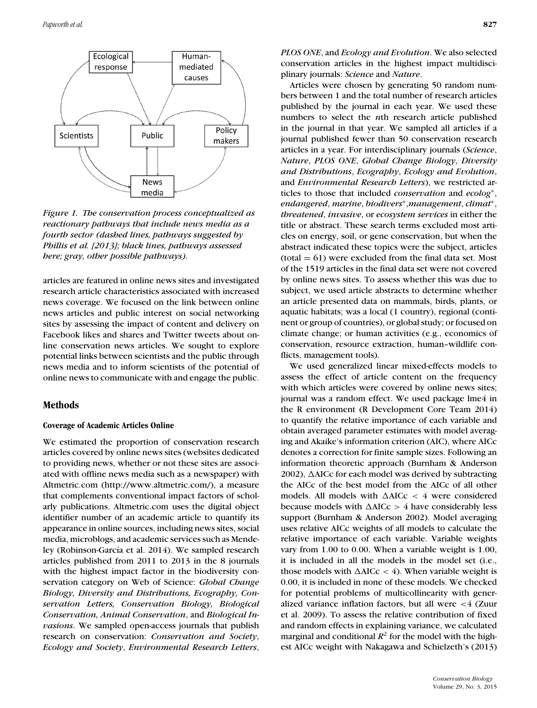

*Figure 1. The conservation process conceptualized as reactionary pathways that include news media as a fourth sector (dashed lines, pathways suggested by Phillis et al. [2013]; black lines, pathways assessed here; gray, other possible pathways).*

articles are featured in online news sites and investigated research article characteristics associated with increased news coverage. We focused on the link between online news articles and public interest on social networking sites by assessing the impact of content and delivery on Facebook likes and shares and Twitter tweets about online conservation news articles. We sought to explore potential links between scientists and the public through news media and to inform scientists of the potential of online news to communicate with and engage the public.

## **Methods**

#### **Coverage of Academic Articles Online**

We estimated the proportion of conservation research articles covered by online news sites (websites dedicated to providing news, whether or not these sites are associated with offline news media such as a newspaper) with Altmetric.com (http://www.altmetric.com/), a measure that complements conventional impact factors of scholarly publications. Altmetric.com uses the digital object identifier number of an academic article to quantify its appearance in online sources, including news sites, social media, microblogs, and academic services such as Mendeley (Robinson-García et al. 2014). We sampled research articles published from 2011 to 2013 in the 8 journals with the highest impact factor in the biodiversity conservation category on Web of Science: *Global Change Biology, Diversity and Distributions, Ecography, Conservation Letters, Conservation Biology, Biological Conservation, Animal Conservation*, and *Biological Invasions*. We sampled open-access journals that publish research on conservation: *Conservation and Society*, *Ecology and Society*, *Environmental Research Letters*,

*PLOS ONE*, and *Ecology and Evolution*. We also selected conservation articles in the highest impact multidisciplinary journals: *Science* and *Nature*.

Articles were chosen by generating 50 random numbers between 1 and the total number of research articles published by the journal in each year. We used these numbers to select the *n*th research article published in the journal in that year. We sampled all articles if a journal published fewer than 50 conservation research articles in a year. For interdisciplinary journals (*Science*, *Nature*, *PLOS ONE*, *Global Change Biology*, *Diversity and Distributions*, *Ecography*, *Ecology and Evolution*, and *Environmental Research Letters*), we restricted articles to those that included *conservation* and *ecolog*∗, *endangered*, *marine*, *biodivers*∗,*management*, *climat*∗, *threatened*, *invasive*, or *ecosystem services* in either the title or abstract. These search terms excluded most articles on energy, soil, or gene conservation, but when the abstract indicated these topics were the subject, articles  $(total = 61)$  were excluded from the final data set. Most of the 1519 articles in the final data set were not covered by online news sites. To assess whether this was due to subject, we used article abstracts to determine whether an article presented data on mammals, birds, plants, or aquatic habitats; was a local (1 country), regional (continent or group of countries), or global study; or focused on climate change; or human activities (e.g., economics of conservation, resource extraction, human–wildlife conflicts, management tools).

We used generalized linear mixed-effects models to assess the effect of article content on the frequency with which articles were covered by online news sites; journal was a random effect. We used package lme4 in the R environment (R Development Core Team 2014) to quantify the relative importance of each variable and obtain averaged parameter estimates with model averaging and Akaike's information criterion (AIC), where AICc denotes a correction for finite sample sizes. Following an information theoretic approach (Burnham & Anderson 2002),  $\triangle$ AICc for each model was derived by subtracting the AICc of the best model from the AICc of all other models. All models with  $\Delta AICc < 4$  were considered because models with  $\Delta AICc > 4$  have considerably less support (Burnham & Anderson 2002). Model averaging uses relative AICc weights of all models to calculate the relative importance of each variable. Variable weights vary from 1.00 to 0.00. When a variable weight is 1.00, it is included in all the models in the model set (i.e., those models with  $\Delta AICc < 4$ ). When variable weight is 0.00, it is included in none of these models. We checked for potential problems of multicollinearity with generalized variance inflation factors, but all were <4 (Zuur et al. 2009). To assess the relative contribution of fixed and random effects in explaining variance, we calculated marginal and conditional  $R^2$  for the model with the highest AICc weight with Nakagawa and Schielzeth's (2013)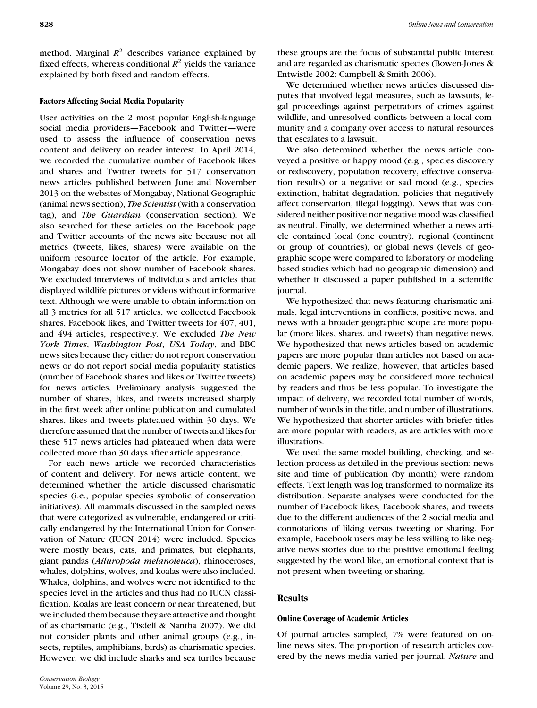method. Marginal  $R^2$  describes variance explained by fixed effects, whereas conditional  $R^2$  yields the variance explained by both fixed and random effects.

#### **Factors Affecting Social Media Popularity**

User activities on the 2 most popular English-language social media providers—Facebook and Twitter—were used to assess the influence of conservation news content and delivery on reader interest. In April 2014, we recorded the cumulative number of Facebook likes and shares and Twitter tweets for 517 conservation news articles published between June and November 2013 on the websites of Mongabay, National Geographic (animal news section), *The Scientist* (with a conservation tag), and *The Guardian* (conservation section). We also searched for these articles on the Facebook page and Twitter accounts of the news site because not all metrics (tweets, likes, shares) were available on the uniform resource locator of the article. For example, Mongabay does not show number of Facebook shares. We excluded interviews of individuals and articles that displayed wildlife pictures or videos without informative text. Although we were unable to obtain information on all 3 metrics for all 517 articles, we collected Facebook shares, Facebook likes, and Twitter tweets for 407, 401, and 494 articles, respectively. We excluded *The New York Times*, *Washington Post*, *USA Today*, and BBC news sites because they either do not report conservation news or do not report social media popularity statistics (number of Facebook shares and likes or Twitter tweets) for news articles. Preliminary analysis suggested the number of shares, likes, and tweets increased sharply in the first week after online publication and cumulated shares, likes and tweets plateaued within 30 days. We therefore assumed that the number of tweets and likes for these 517 news articles had plateaued when data were collected more than 30 days after article appearance.

For each news article we recorded characteristics of content and delivery. For news article content, we determined whether the article discussed charismatic species (i.e., popular species symbolic of conservation initiatives). All mammals discussed in the sampled news that were categorized as vulnerable, endangered or critically endangered by the International Union for Conservation of Nature (IUCN 2014) were included. Species were mostly bears, cats, and primates, but elephants, giant pandas (*Ailuropoda melanoleuca*), rhinoceroses, whales, dolphins, wolves, and koalas were also included. Whales, dolphins, and wolves were not identified to the species level in the articles and thus had no IUCN classification. Koalas are least concern or near threatened, but we included them because they are attractive and thought of as charismatic (e.g., Tisdell & Nantha 2007). We did not consider plants and other animal groups (e.g., insects, reptiles, amphibians, birds) as charismatic species. However, we did include sharks and sea turtles because

these groups are the focus of substantial public interest and are regarded as charismatic species (Bowen-Jones & Entwistle 2002; Campbell & Smith 2006).

We determined whether news articles discussed disputes that involved legal measures, such as lawsuits, legal proceedings against perpetrators of crimes against wildlife, and unresolved conflicts between a local community and a company over access to natural resources that escalates to a lawsuit.

We also determined whether the news article conveyed a positive or happy mood (e.g., species discovery or rediscovery, population recovery, effective conservation results) or a negative or sad mood (e.g., species extinction, habitat degradation, policies that negatively affect conservation, illegal logging). News that was considered neither positive nor negative mood was classified as neutral. Finally, we determined whether a news article contained local (one country), regional (continent or group of countries), or global news (levels of geographic scope were compared to laboratory or modeling based studies which had no geographic dimension) and whether it discussed a paper published in a scientific journal.

We hypothesized that news featuring charismatic animals, legal interventions in conflicts, positive news, and news with a broader geographic scope are more popular (more likes, shares, and tweets) than negative news. We hypothesized that news articles based on academic papers are more popular than articles not based on academic papers. We realize, however, that articles based on academic papers may be considered more technical by readers and thus be less popular. To investigate the impact of delivery, we recorded total number of words, number of words in the title, and number of illustrations. We hypothesized that shorter articles with briefer titles are more popular with readers, as are articles with more illustrations.

We used the same model building, checking, and selection process as detailed in the previous section; news site and time of publication (by month) were random effects. Text length was log transformed to normalize its distribution. Separate analyses were conducted for the number of Facebook likes, Facebook shares, and tweets due to the different audiences of the 2 social media and connotations of liking versus tweeting or sharing. For example, Facebook users may be less willing to like negative news stories due to the positive emotional feeling suggested by the word like, an emotional context that is not present when tweeting or sharing.

# **Results**

#### **Online Coverage of Academic Articles**

Of journal articles sampled, 7% were featured on online news sites. The proportion of research articles covered by the news media varied per journal. *Nature* and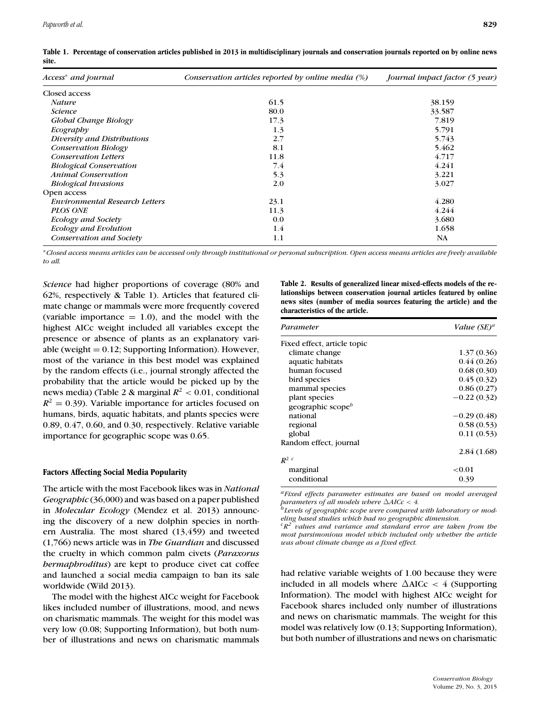| Access <sup>*</sup> and journal       | Conservation articles reported by online media $(\%)$ |        |
|---------------------------------------|-------------------------------------------------------|--------|
| Closed access                         |                                                       |        |
| <b>Nature</b>                         | 61.5                                                  | 38.159 |
| <i>Science</i>                        | 80.0                                                  | 33.587 |
| Global Change Biology                 | 17.3                                                  | 7.819  |
| Ecography                             | 1.3                                                   | 5.791  |
| Diversity and Distributions           | 2.7                                                   | 5.743  |
| <b>Conservation Biology</b>           | 8.1                                                   | 5.462  |
| <b>Conservation Letters</b>           | 11.8                                                  | 4.717  |
| <b>Biological Conservation</b>        | 7.4                                                   | 4.241  |
| <b>Animal Conservation</b>            | 5.3                                                   | 3.221  |
| <b>Biological Invasions</b>           | 2.0                                                   | 3.027  |
| Open access                           |                                                       |        |
| <b>Environmental Research Letters</b> | 23.1                                                  | 4.280  |
| <b>PLOS ONE</b>                       | 11.3                                                  | 4.244  |
| <b>Ecology and Society</b>            | 0.0                                                   | 3.680  |
| <b>Ecology and Evolution</b>          | 1.4                                                   | 1.658  |
| Conservation and Society              | 1.1                                                   | NA     |

**Table 1. Percentage of conservation articles published in 2013 in multidisciplinary journals and conservation journals reported on by online news site.**

∗*Closed access means articles can be accessed only through institutional or personal subscription. Open access means articles are freely available to all.*

*Science* had higher proportions of coverage (80% and 62%, respectively & Table 1). Articles that featured climate change or mammals were more frequently covered (variable importance  $= 1.0$ ), and the model with the highest AICc weight included all variables except the presence or absence of plants as an explanatory variable (weight  $= 0.12$ ; Supporting Information). However, most of the variance in this best model was explained by the random effects (i.e., journal strongly affected the probability that the article would be picked up by the news media) (Table 2 & marginal  $R^2$  < 0.01, conditional  $R^2 = 0.39$ ). Variable importance for articles focused on humans, birds, aquatic habitats, and plants species were 0.89, 0.47, 0.60, and 0.30, respectively. Relative variable importance for geographic scope was 0.65.

#### **Factors Affecting Social Media Popularity**

The article with the most Facebook likes was in *National Geographic* (36,000) and was based on a paper published in *Molecular Ecology* (Mendez et al. 2013) announcing the discovery of a new dolphin species in northern Australia. The most shared (13,459) and tweeted (1,766) news article was in *The Guardian* and discussed the cruelty in which common palm civets (*Paraxorus hermaphroditus*) are kept to produce civet cat coffee and launched a social media campaign to ban its sale worldwide (Wild 2013).

The model with the highest AICc weight for Facebook likes included number of illustrations, mood, and news on charismatic mammals. The weight for this model was very low (0.08; Supporting Information), but both number of illustrations and news on charismatic mammals **Table 2. Results of generalized linear mixed-effects models of the relationships between conservation journal articles featured by online news sites (number of media sources featuring the article) and the characteristics of the article.**

| Parameter                     | Value (SE) <sup>a</sup> |  |
|-------------------------------|-------------------------|--|
| Fixed effect, article topic   |                         |  |
| climate change                | 1.37(0.36)              |  |
| aquatic habitats              | 0.44(0.26)              |  |
| human focused                 | 0.68(0.30)              |  |
| bird species                  | 0.45(0.32)              |  |
| mammal species                | 0.86(0.27)              |  |
| plant species                 | $-0.22(0.32)$           |  |
| geographic scope <sup>b</sup> |                         |  |
| national                      | $-0.29(0.48)$           |  |
| regional                      | 0.58(0.53)              |  |
| global                        | 0.11(0.53)              |  |
| Random effect, journal        |                         |  |
|                               | 2.84(1.68)              |  |
| $R^2$ c                       |                         |  |
| marginal                      | ${<}0.01$               |  |
| conditional                   | 0.39                    |  |

*aFixed effects parameter estimates are based on model averaged parameters of all models where*  $\Delta AICc < 4$ .

<sup>}</sup> Levels of geographic scope were compared with laboratory or mod*eling based studies which had no geographic dimension.*

*cR2 values and variance and standard error are taken from the most parsimonious model which included only whether the article was about climate change as a fixed effect.*

had relative variable weights of 1.00 because they were included in all models where  $\Delta AICc < 4$  (Supporting Information). The model with highest AICc weight for Facebook shares included only number of illustrations and news on charismatic mammals. The weight for this model was relatively low (0.13; Supporting Information), but both number of illustrations and news on charismatic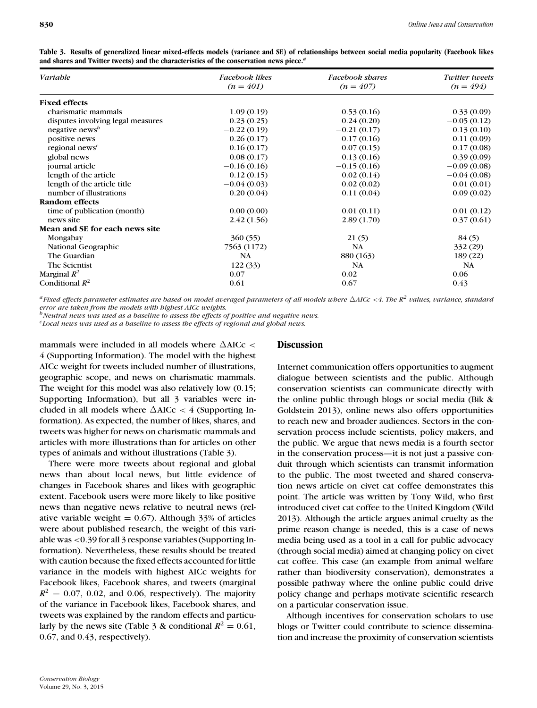| Variable                                | <b>Facebook likes</b> | Facebook shares | Twitter tweets |
|-----------------------------------------|-----------------------|-----------------|----------------|
|                                         | $(n = 401)$           | $(n = 407)$     | $(n = 494)$    |
| <b>Fixed effects</b>                    |                       |                 |                |
| charismatic mammals                     | 1.09(0.19)            | 0.53(0.16)      | 0.33(0.09)     |
| disputes involving legal measures       | 0.23(0.25)            | 0.24(0.20)      | $-0.05(0.12)$  |
| negative news <sup>b</sup>              | $-0.22(0.19)$         | $-0.21(0.17)$   | 0.13(0.10)     |
| positive news                           | 0.26(0.17)            | 0.17(0.16)      | 0.11(0.09)     |
| regional news <sup><math>c</math></sup> | 0.16(0.17)            | 0.07(0.15)      | 0.17(0.08)     |
| global news                             | 0.08(0.17)            | 0.13(0.16)      | 0.39(0.09)     |
| journal article                         | $-0.16(0.16)$         | $-0.15(0.16)$   | $-0.09(0.08)$  |
| length of the article                   | 0.12(0.15)            | 0.02(0.14)      | $-0.04(0.08)$  |
| length of the article title             | $-0.04(0.03)$         | 0.02(0.02)      | 0.01(0.01)     |
| number of illustrations                 | 0.20(0.04)            | 0.11(0.04)      | 0.09(0.02)     |
| Random effects                          |                       |                 |                |
| time of publication (month)             | 0.00(0.00)            | 0.01(0.11)      | 0.01(0.12)     |
| news site                               | 2.42(1.56)            | 2.89(1.70)      | 0.37(0.61)     |
| Mean and SE for each news site          |                       |                 |                |
| Mongabay                                | 360(55)               | 21(5)           | 84(5)          |
| National Geographic                     | 7563 (1172)           | NA              | 332 (29)       |
| The Guardian                            | NA                    | 880 (163)       | 189 (22)       |
| The Scientist                           | 122 (33)              | NA              | NA             |
| Marginal $R^2$                          | 0.07                  | 0.02            | 0.06           |
| Conditional $R^2$                       | 0.61                  | 0.67            | 0.43           |

**Table 3. Results of generalized linear mixed-effects models (variance and SE) of relationships between social media popularity (Facebook likes and shares and Twitter tweets) and the characteristics of the conservation news piece.***<sup>a</sup>*

 $^a$  Fixed effects parameter estimates are based on model averaged parameters of all models where  $\Delta AIC$ c $<$  4. The  $R^2$  values, variance, standard *error are taken from the models with highest AICc weights.*

*b*Neutral news was used as a baseline to assess the effects of positive and negative news.

*cLocal news was used as a baseline to assess the effects of regional and global news.*

mammals were included in all models where  $\triangle$ AICc < 4 (Supporting Information). The model with the highest AICc weight for tweets included number of illustrations, geographic scope, and news on charismatic mammals. The weight for this model was also relatively low (0.15; Supporting Information), but all 3 variables were included in all models where  $\Delta AICc < 4$  (Supporting Information). As expected, the number of likes, shares, and tweets was higher for news on charismatic mammals and articles with more illustrations than for articles on other types of animals and without illustrations (Table 3).

There were more tweets about regional and global news than about local news, but little evidence of changes in Facebook shares and likes with geographic extent. Facebook users were more likely to like positive news than negative news relative to neutral news (relative variable weight  $= 0.67$ ). Although 33% of articles were about published research, the weight of this variable was <0.39 for all 3 response variables (Supporting Information). Nevertheless, these results should be treated with caution because the fixed effects accounted for little variance in the models with highest AICc weights for Facebook likes, Facebook shares, and tweets (marginal  $R^2 = 0.07$ , 0.02, and 0.06, respectively). The majority of the variance in Facebook likes, Facebook shares, and tweets was explained by the random effects and particularly by the news site (Table 3 & conditional  $R^2 = 0.61$ , 0.67, and 0.43, respectively).

### **Discussion**

Internet communication offers opportunities to augment dialogue between scientists and the public. Although conservation scientists can communicate directly with the online public through blogs or social media (Bik & Goldstein 2013), online news also offers opportunities to reach new and broader audiences. Sectors in the conservation process include scientists, policy makers, and the public. We argue that news media is a fourth sector in the conservation process—it is not just a passive conduit through which scientists can transmit information to the public. The most tweeted and shared conservation news article on civet cat coffee demonstrates this point. The article was written by Tony Wild, who first introduced civet cat coffee to the United Kingdom (Wild 2013). Although the article argues animal cruelty as the prime reason change is needed, this is a case of news media being used as a tool in a call for public advocacy (through social media) aimed at changing policy on civet cat coffee. This case (an example from animal welfare rather than biodiversity conservation), demonstrates a possible pathway where the online public could drive policy change and perhaps motivate scientific research on a particular conservation issue.

Although incentives for conservation scholars to use blogs or Twitter could contribute to science dissemination and increase the proximity of conservation scientists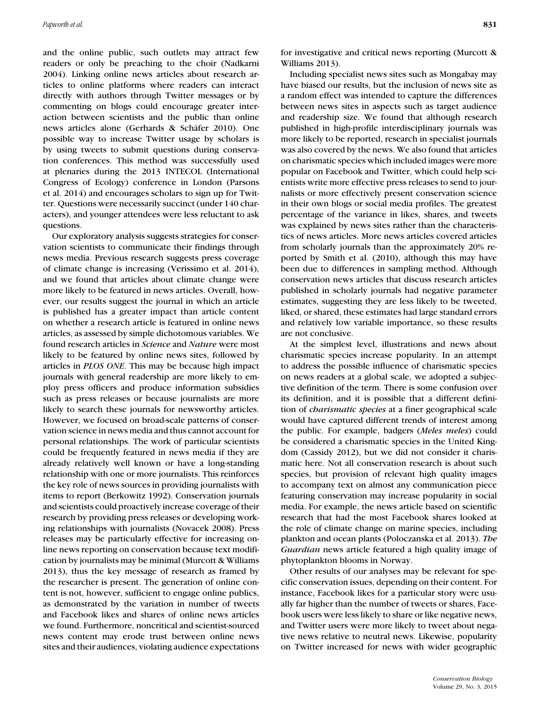and the online public, such outlets may attract few readers or only be preaching to the choir (Nadkarni 2004). Linking online news articles about research articles to online platforms where readers can interact directly with authors through Twitter messages or by commenting on blogs could encourage greater interaction between scientists and the public than online news articles alone (Gerhards & Schäfer 2010). One possible way to increase Twitter usage by scholars is by using tweets to submit questions during conservation conferences. This method was successfully used at plenaries during the 2013 INTECOL (International Congress of Ecology) conference in London (Parsons et al. 2014) and encourages scholars to sign up for Twitter. Questions were necessarily succinct (under 140 characters), and younger attendees were less reluctant to ask questions.

Our exploratory analysis suggests strategies for conservation scientists to communicate their findings through news media. Previous research suggests press coverage of climate change is increasing (Verissimo et al. 2014), and we found that articles about climate change were more likely to be featured in news articles. Overall, however, our results suggest the journal in which an article is published has a greater impact than article content on whether a research article is featured in online news articles, as assessed by simple dichotomous variables. We found research articles in *Science* and *Nature* were most likely to be featured by online news sites, followed by articles in *PLOS ONE*. This may be because high impact journals with general readership are more likely to employ press officers and produce information subsidies such as press releases or because journalists are more likely to search these journals for newsworthy articles. However, we focused on broad-scale patterns of conservation science in news media and thus cannot account for personal relationships. The work of particular scientists could be frequently featured in news media if they are already relatively well known or have a long-standing relationship with one or more journalists. This reinforces the key role of news sources in providing journalists with items to report (Berkowitz 1992). Conservation journals and scientists could proactively increase coverage of their research by providing press releases or developing working relationships with journalists (Novacek 2008). Press releases may be particularly effective for increasing online news reporting on conservation because text modification by journalists may be minimal (Murcott & Williams 2013), thus the key message of research as framed by the researcher is present. The generation of online content is not, however, sufficient to engage online publics, as demonstrated by the variation in number of tweets and Facebook likes and shares of online news articles we found. Furthermore, noncritical and scientist-sourced news content may erode trust between online news sites and their audiences, violating audience expectations for investigative and critical news reporting (Murcott & Williams 2013).

Including specialist news sites such as Mongabay may have biased our results, but the inclusion of news site as a random effect was intended to capture the differences between news sites in aspects such as target audience and readership size. We found that although research published in high-profile interdisciplinary journals was more likely to be reported, research in specialist journals was also covered by the news. We also found that articles on charismatic species which included images were more popular on Facebook and Twitter, which could help scientists write more effective press releases to send to journalists or more effectively present conservation science in their own blogs or social media profiles. The greatest percentage of the variance in likes, shares, and tweets was explained by news sites rather than the characteristics of news articles. More news articles covered articles from scholarly journals than the approximately 20% reported by Smith et al. (2010), although this may have been due to differences in sampling method. Although conservation news articles that discuss research articles published in scholarly journals had negative parameter estimates, suggesting they are less likely to be tweeted, liked, or shared, these estimates had large standard errors and relatively low variable importance, so these results are not conclusive.

At the simplest level, illustrations and news about charismatic species increase popularity. In an attempt to address the possible influence of charismatic species on news readers at a global scale, we adopted a subjective definition of the term. There is some confusion over its definition, and it is possible that a different definition of *charismatic species* at a finer geographical scale would have captured different trends of interest among the public. For example, badgers (*Meles meles*) could be considered a charismatic species in the United Kingdom (Cassidy 2012), but we did not consider it charismatic here. Not all conservation research is about such species, but provision of relevant high quality images to accompany text on almost any communication piece featuring conservation may increase popularity in social media. For example, the news article based on scientific research that had the most Facebook shares looked at the role of climate change on marine species, including plankton and ocean plants (Poloczanska et al. 2013). *The Guardian* news article featured a high quality image of phytoplankton blooms in Norway.

Other results of our analyses may be relevant for specific conservation issues, depending on their content. For instance, Facebook likes for a particular story were usually far higher than the number of tweets or shares, Facebook users were less likely to share or like negative news, and Twitter users were more likely to tweet about negative news relative to neutral news. Likewise, popularity on Twitter increased for news with wider geographic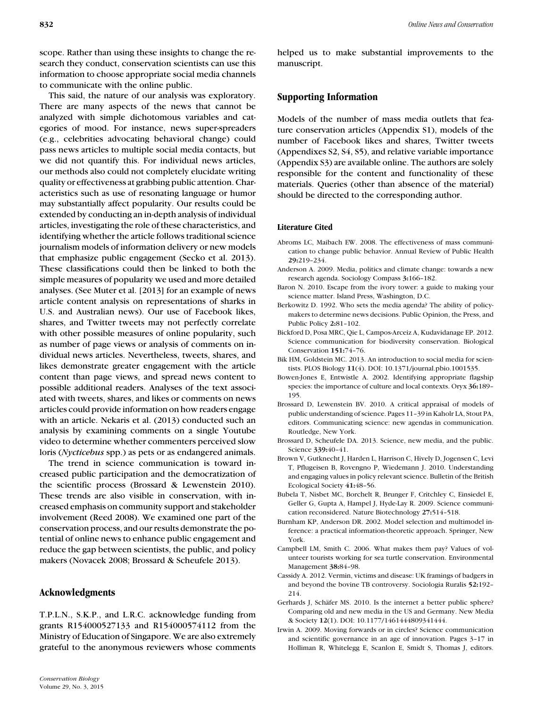scope. Rather than using these insights to change the research they conduct, conservation scientists can use this information to choose appropriate social media channels to communicate with the online public.

This said, the nature of our analysis was exploratory. There are many aspects of the news that cannot be analyzed with simple dichotomous variables and categories of mood. For instance, news super-spreaders (e.g., celebrities advocating behavioral change) could pass news articles to multiple social media contacts, but we did not quantify this. For individual news articles, our methods also could not completely elucidate writing quality or effectiveness at grabbing public attention. Characteristics such as use of resonating language or humor may substantially affect popularity. Our results could be extended by conducting an in-depth analysis of individual articles, investigating the role of these characteristics, and identifying whether the article follows traditional science journalism models of information delivery or new models that emphasize public engagement (Secko et al. 2013). These classifications could then be linked to both the simple measures of popularity we used and more detailed analyses. (See Muter et al. [2013] for an example of news article content analysis on representations of sharks in U.S. and Australian news). Our use of Facebook likes, shares, and Twitter tweets may not perfectly correlate with other possible measures of online popularity, such as number of page views or analysis of comments on individual news articles. Nevertheless, tweets, shares, and likes demonstrate greater engagement with the article content than page views, and spread news content to possible additional readers. Analyses of the text associated with tweets, shares, and likes or comments on news articles could provide information on how readers engage with an article. Nekaris et al. (2013) conducted such an analysis by examining comments on a single Youtube video to determine whether commenters perceived slow loris (*Nycticebus* spp.) as pets or as endangered animals.

The trend in science communication is toward increased public participation and the democratization of the scientific process (Brossard & Lewenstein 2010). These trends are also visible in conservation, with increased emphasis on community support and stakeholder involvement (Reed 2008). We examined one part of the conservation process, and our results demonstrate the potential of online news to enhance public engagement and reduce the gap between scientists, the public, and policy makers (Novacek 2008; Brossard & Scheufele 2013).

# **Acknowledgments**

T.P.L.N., S.K.P., and L.R.C. acknowledge funding from grants R154000527133 and R154000574112 from the Ministry of Education of Singapore. We are also extremely grateful to the anonymous reviewers whose comments helped us to make substantial improvements to the manuscript.

# **Supporting Information**

Models of the number of mass media outlets that feature conservation articles (Appendix S1), models of the number of Facebook likes and shares, Twitter tweets (Appendixes S2, S4, S5), and relative variable importance (Appendix S3) are available online. The authors are solely responsible for the content and functionality of these materials. Queries (other than absence of the material) should be directed to the corresponding author.

#### **Literature Cited**

- Abroms LC, Maibach EW. 2008. The effectiveness of mass communication to change public behavior. Annual Review of Public Health **29:**219–234.
- Anderson A. 2009. Media, politics and climate change: towards a new research agenda. Sociology Compass **3:**166–182.
- Baron N. 2010. Escape from the ivory tower: a guide to making your science matter. Island Press, Washington, D.C.
- Berkowitz D. 1992. Who sets the media agenda? The ability of policymakers to determine news decisions. Public Opinion, the Press, and Public Policy **2:**81–102.
- Bickford D, Posa MRC, Qie L, Campos-Arceiz A, Kudavidanage EP. 2012. Science communication for biodiversity conservation. Biological Conservation **151:**74–76.
- Bik HM, Goldstein MC. 2013. An introduction to social media for scientists. PLOS Biology **11**(4). DOI: 10.1371/journal.pbio.1001535.
- Bowen-Jones E, Entwistle A. 2002. Identifying appropriate flagship species: the importance of culture and local contexts. Oryx **36:**189– 195.
- Brossard D, Lewenstein BV. 2010. A critical appraisal of models of public understanding of science. Pages 11–39 in Kaholr LA, Stout PA, editors. Communicating science: new agendas in communication. Routledge, New York.
- Brossard D, Scheufele DA. 2013. Science, new media, and the public. Science **339:**40–41.
- Brown V, Gutknecht J, Harden L, Harrison C, Hively D, Jogensen C, Levi T, Pflugeisen B, Rovengno P, Wiedemann J. 2010. Understanding and engaging values in policy relevant science. Bulletin of the British Ecological Society **41:**48–56.
- Bubela T, Nisbet MC, Borchelt R, Brunger F, Critchley C, Einsiedel E, Geller G, Gupta A, Hampel J, Hyde-Lay R. 2009. Science communication reconsidered. Nature Biotechnology **27:**514–518.
- Burnham KP, Anderson DR. 2002. Model selection and multimodel inference: a practical information-theoretic approach. Springer, New York.
- Campbell LM, Smith C. 2006. What makes them pay? Values of volunteer tourists working for sea turtle conservation. Environmental Management **38:**84–98.
- Cassidy A. 2012. Vermin, victims and disease: UK framings of badgers in and beyond the bovine TB controversy. Sociologia Ruralis **52:**192– 214.
- Gerhards J, Schäfer MS. 2010. Is the internet a better public sphere? Comparing old and new media in the US and Germany. New Media & Society **12**(1). DOI: 10.1177/1461444809341444.
- Irwin A. 2009. Moving forwards or in circles? Science communication and scientific governance in an age of innovation. Pages 3–17 in Holliman R, Whitelegg E, Scanlon E, Smidt S, Thomas J, editors.